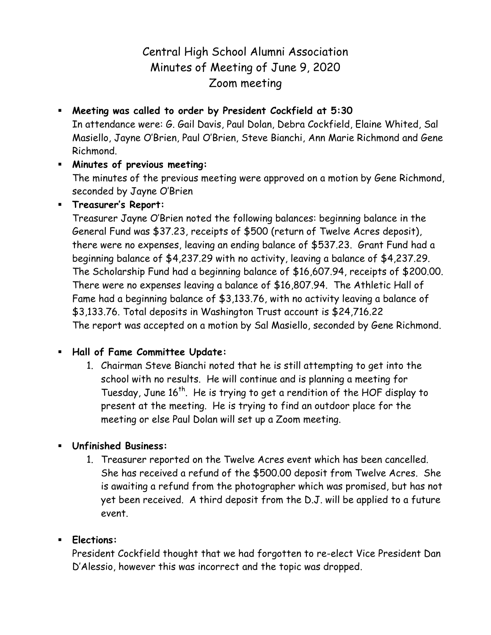# Central High School Alumni Association Minutes of Meeting of June 9, 2020 Zoom meeting

 **Meeting was called to order by President Cockfield at 5:30** In attendance were: G. Gail Davis, Paul Dolan, Debra Cockfield, Elaine Whited, Sal Masiello, Jayne O'Brien, Paul O'Brien, Steve Bianchi, Ann Marie Richmond and Gene Richmond.

#### **Minutes of previous meeting:** The minutes of the previous meeting were approved on a motion by Gene Richmond, seconded by Jayne O'Brien

### **Treasurer's Report:**

Treasurer Jayne O'Brien noted the following balances: beginning balance in the General Fund was \$37.23, receipts of \$500 (return of Twelve Acres deposit), there were no expenses, leaving an ending balance of \$537.23. Grant Fund had a beginning balance of \$4,237.29 with no activity, leaving a balance of \$4,237.29. The Scholarship Fund had a beginning balance of \$16,607.94, receipts of \$200.00. There were no expenses leaving a balance of \$16,807.94. The Athletic Hall of Fame had a beginning balance of \$3,133.76, with no activity leaving a balance of \$3,133.76. Total deposits in Washington Trust account is \$24,716.22 The report was accepted on a motion by Sal Masiello, seconded by Gene Richmond.

# **Hall of Fame Committee Update:**

1. Chairman Steve Bianchi noted that he is still attempting to get into the school with no results. He will continue and is planning a meeting for Tuesday, June 16<sup>th</sup>. He is trying to get a rendition of the HOF display to present at the meeting. He is trying to find an outdoor place for the meeting or else Paul Dolan will set up a Zoom meeting.

# **Unfinished Business:**

1. Treasurer reported on the Twelve Acres event which has been cancelled. She has received a refund of the \$500.00 deposit from Twelve Acres. She is awaiting a refund from the photographer which was promised, but has not yet been received. A third deposit from the D.J. will be applied to a future event.

# **Elections:**

President Cockfield thought that we had forgotten to re-elect Vice President Dan D'Alessio, however this was incorrect and the topic was dropped.